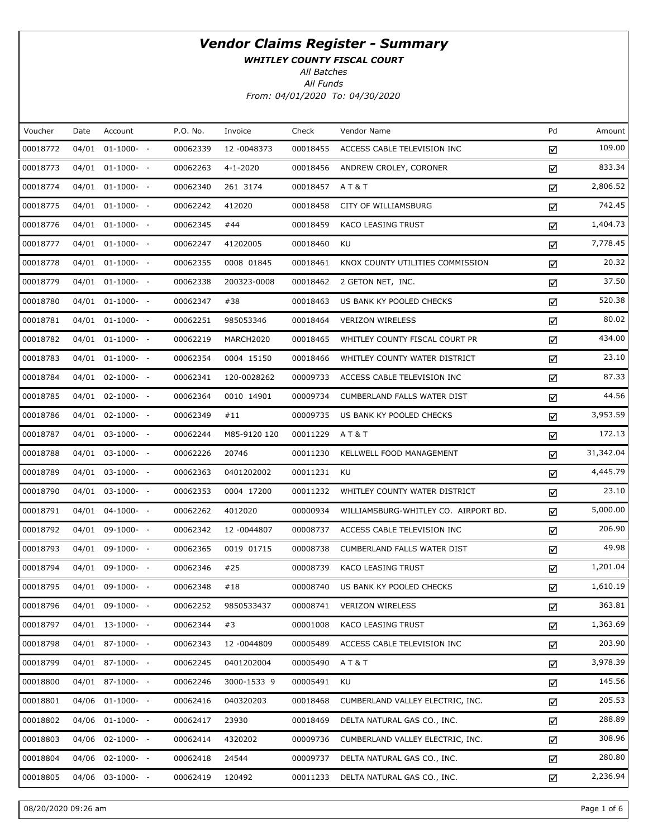WHITLEY COUNTY FISCAL COURT

All Batches

| Voucher  | Date  | Account            | P.O. No. | Invoice      | Check    | Vendor Name                          | Pd | Amount    |
|----------|-------|--------------------|----------|--------------|----------|--------------------------------------|----|-----------|
| 00018772 | 04/01 | $01-1000-$         | 00062339 | 12 -0048373  | 00018455 | ACCESS CABLE TELEVISION INC          | ☑  | 109.00    |
| 00018773 |       | 04/01 01-1000- -   | 00062263 | 4-1-2020     | 00018456 | ANDREW CROLEY, CORONER               | ☑  | 833.34    |
| 00018774 | 04/01 | $01-1000-$         | 00062340 | 261 3174     | 00018457 | AT&T                                 | ☑  | 2,806.52  |
| 00018775 |       | 04/01 01-1000- -   | 00062242 | 412020       | 00018458 | CITY OF WILLIAMSBURG                 | ☑  | 742.45    |
| 00018776 | 04/01 | $01-1000-$         | 00062345 | #44          | 00018459 | KACO LEASING TRUST                   | ☑  | 1,404.73  |
| 00018777 |       | 04/01 01-1000- -   | 00062247 | 41202005     | 00018460 | KU                                   | ☑  | 7,778.45  |
| 00018778 |       | 04/01 01-1000- -   | 00062355 | 0008 01845   | 00018461 | KNOX COUNTY UTILITIES COMMISSION     | ☑  | 20.32     |
| 00018779 |       | 04/01 01-1000- -   | 00062338 | 200323-0008  | 00018462 | 2 GETON NET, INC.                    | ☑  | 37.50     |
| 00018780 |       | 04/01 01-1000- -   | 00062347 | #38          | 00018463 | US BANK KY POOLED CHECKS             | ☑  | 520.38    |
| 00018781 |       | 04/01 01-1000- -   | 00062251 | 985053346    | 00018464 | <b>VERIZON WIRELESS</b>              | ☑  | 80.02     |
| 00018782 |       | 04/01 01-1000- -   | 00062219 | MARCH2020    | 00018465 | WHITLEY COUNTY FISCAL COURT PR       | ☑  | 434.00    |
| 00018783 |       | 04/01 01-1000- -   | 00062354 | 0004 15150   | 00018466 | WHITLEY COUNTY WATER DISTRICT        | ☑  | 23.10     |
| 00018784 |       | 04/01 02-1000- -   | 00062341 | 120-0028262  | 00009733 | ACCESS CABLE TELEVISION INC          | ☑  | 87.33     |
| 00018785 |       | 04/01 02-1000- -   | 00062364 | 0010 14901   | 00009734 | <b>CUMBERLAND FALLS WATER DIST</b>   | ☑  | 44.56     |
| 00018786 | 04/01 | $02 - 1000 - -$    | 00062349 | #11          | 00009735 | US BANK KY POOLED CHECKS             | ☑  | 3,953.59  |
| 00018787 |       | 04/01 03-1000- -   | 00062244 | M85-9120 120 | 00011229 | A T & T                              | ☑  | 172.13    |
| 00018788 |       | 04/01 03-1000- -   | 00062226 | 20746        | 00011230 | KELLWELL FOOD MANAGEMENT             | ☑  | 31,342.04 |
| 00018789 |       | 04/01 03-1000- -   | 00062363 | 0401202002   | 00011231 | KU                                   | ☑  | 4,445.79  |
| 00018790 |       | 04/01 03-1000- -   | 00062353 | 0004 17200   | 00011232 | WHITLEY COUNTY WATER DISTRICT        | ☑  | 23.10     |
| 00018791 |       | 04/01 04-1000- -   | 00062262 | 4012020      | 00000934 | WILLIAMSBURG-WHITLEY CO. AIRPORT BD. | ☑  | 5,000.00  |
| 00018792 | 04/01 | 09-1000- -         | 00062342 | 12 -0044807  | 00008737 | ACCESS CABLE TELEVISION INC          | ☑  | 206.90    |
| 00018793 |       | 04/01 09-1000- -   | 00062365 | 0019 01715   | 00008738 | CUMBERLAND FALLS WATER DIST          | ☑  | 49.98     |
| 00018794 | 04/01 | 09-1000- -         | 00062346 | #25          | 00008739 | KACO LEASING TRUST                   | ☑  | 1,201.04  |
| 00018795 |       | 04/01 09-1000- -   | 00062348 | #18          | 00008740 | US BANK KY POOLED CHECKS             | ☑  | 1,610.19  |
| 00018796 |       | 04/01 09-1000- -   | 00062252 | 9850533437   | 00008741 | <b>VERIZON WIRELESS</b>              | ☑  | 363.81    |
| 00018797 |       | 04/01 13-1000- -   | 00062344 | #3           | 00001008 | KACO LEASING TRUST                   | ☑  | 1,363.69  |
| 00018798 |       | 04/01 87-1000- -   | 00062343 | 12 -0044809  | 00005489 | ACCESS CABLE TELEVISION INC          | ☑  | 203.90    |
| 00018799 |       | $04/01$ 87-1000- - | 00062245 | 0401202004   | 00005490 | AT&T                                 | ☑  | 3,978.39  |
| 00018800 |       | 04/01 87-1000- -   | 00062246 | 3000-1533 9  | 00005491 | KU                                   | ☑  | 145.56    |
| 00018801 | 04/06 | $01-1000-$ -       | 00062416 | 040320203    | 00018468 | CUMBERLAND VALLEY ELECTRIC, INC.     | ☑  | 205.53    |
| 00018802 | 04/06 | $01-1000-$         | 00062417 | 23930        | 00018469 | DELTA NATURAL GAS CO., INC.          | ☑  | 288.89    |
| 00018803 | 04/06 | $02-1000- -$       | 00062414 | 4320202      | 00009736 | CUMBERLAND VALLEY ELECTRIC, INC.     | ☑  | 308.96    |
| 00018804 | 04/06 | $02 - 1000 - -$    | 00062418 | 24544        | 00009737 | DELTA NATURAL GAS CO., INC.          | ☑  | 280.80    |
| 00018805 | 04/06 | $03-1000- -$       | 00062419 | 120492       | 00011233 | DELTA NATURAL GAS CO., INC.          | ☑  | 2,236.94  |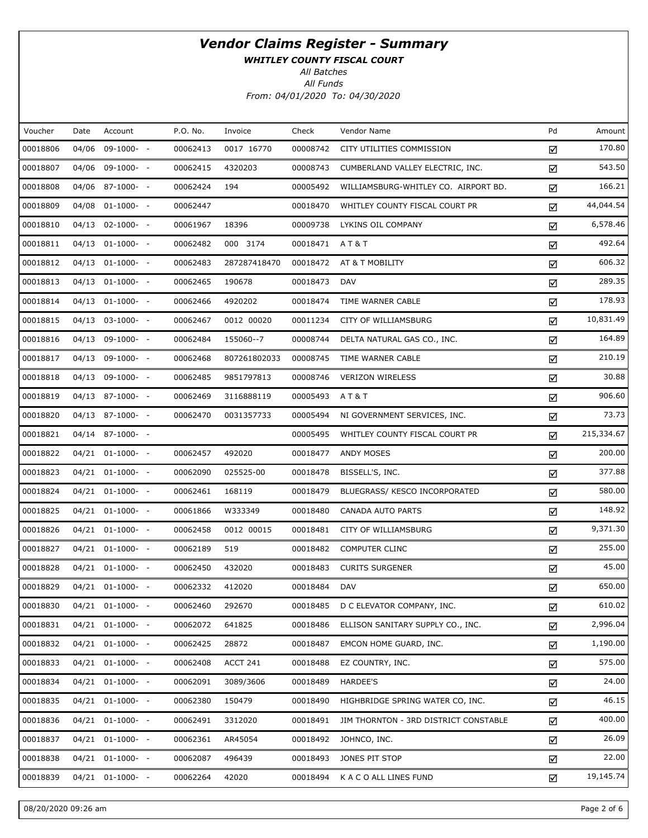WHITLEY COUNTY FISCAL COURT

All Batches

| Voucher  | Date  | Account              | P.O. No. | Invoice      | Check    | Vendor Name                           | Pd | Amount     |
|----------|-------|----------------------|----------|--------------|----------|---------------------------------------|----|------------|
| 00018806 | 04/06 | 09-1000- -           | 00062413 | 0017 16770   | 00008742 | CITY UTILITIES COMMISSION             | ☑  | 170.80     |
| 00018807 |       | 04/06 09-1000- -     | 00062415 | 4320203      | 00008743 | CUMBERLAND VALLEY ELECTRIC, INC.      | ☑  | 543.50     |
| 00018808 |       | 04/06 87-1000- -     | 00062424 | 194          | 00005492 | WILLIAMSBURG-WHITLEY CO. AIRPORT BD.  | ☑  | 166.21     |
| 00018809 |       | 04/08 01-1000- -     | 00062447 |              | 00018470 | WHITLEY COUNTY FISCAL COURT PR        | ☑  | 44,044.54  |
| 00018810 |       | 04/13 02-1000- -     | 00061967 | 18396        | 00009738 | LYKINS OIL COMPANY                    | ☑  | 6,578.46   |
| 00018811 |       | 04/13 01-1000- -     | 00062482 | 000 3174     | 00018471 | AT&T                                  | ☑  | 492.64     |
| 00018812 |       | 04/13 01-1000- -     | 00062483 | 287287418470 | 00018472 | AT & T MOBILITY                       | ☑  | 606.32     |
| 00018813 |       | 04/13 01-1000- -     | 00062465 | 190678       | 00018473 | DAV                                   | ☑  | 289.35     |
| 00018814 |       | 04/13 01-1000- -     | 00062466 | 4920202      | 00018474 | TIME WARNER CABLE                     | ☑  | 178.93     |
| 00018815 |       | 04/13 03-1000- -     | 00062467 | 0012 00020   | 00011234 | CITY OF WILLIAMSBURG                  | ☑  | 10,831.49  |
| 00018816 |       | 04/13 09-1000- -     | 00062484 | 155060--7    | 00008744 | DELTA NATURAL GAS CO., INC.           | ☑  | 164.89     |
| 00018817 |       | 04/13 09-1000- -     | 00062468 | 807261802033 | 00008745 | TIME WARNER CABLE                     | ☑  | 210.19     |
| 00018818 |       | 04/13 09-1000- -     | 00062485 | 9851797813   | 00008746 | <b>VERIZON WIRELESS</b>               | ☑  | 30.88      |
| 00018819 |       | 04/13 87-1000- -     | 00062469 | 3116888119   | 00005493 | AT&T                                  | ☑  | 906.60     |
| 00018820 |       | 04/13 87-1000- -     | 00062470 | 0031357733   | 00005494 | NI GOVERNMENT SERVICES, INC.          | ☑  | 73.73      |
| 00018821 |       | 04/14 87-1000- -     |          |              | 00005495 | WHITLEY COUNTY FISCAL COURT PR        | ☑  | 215,334.67 |
| 00018822 |       | $04/21$ $01-1000-$ - | 00062457 | 492020       | 00018477 | ANDY MOSES                            | ☑  | 200.00     |
| 00018823 |       | $04/21$ $01-1000-$ - | 00062090 | 025525-00    | 00018478 | BISSELL'S, INC.                       | ☑  | 377.88     |
| 00018824 |       | $04/21$ $01-1000-$ - | 00062461 | 168119       | 00018479 | BLUEGRASS/ KESCO INCORPORATED         | ☑  | 580.00     |
| 00018825 |       | $04/21$ $01-1000-$ - | 00061866 | W333349      | 00018480 | CANADA AUTO PARTS                     | ☑  | 148.92     |
| 00018826 |       | 04/21 01-1000- -     | 00062458 | 0012 00015   | 00018481 | CITY OF WILLIAMSBURG                  | ☑  | 9,371.30   |
| 00018827 |       | $04/21$ $01-1000-$ - | 00062189 | 519          | 00018482 | <b>COMPUTER CLINC</b>                 | ☑  | 255.00     |
| 00018828 |       | 04/21 01-1000- -     | 00062450 | 432020       | 00018483 | <b>CURITS SURGENER</b>                | ☑  | 45.00      |
| 00018829 |       | 04/21 01-1000- -     | 00062332 | 412020       | 00018484 | <b>DAV</b>                            | ☑  | 650.00     |
| 00018830 |       | $04/21$ $01-1000-$ - | 00062460 | 292670       | 00018485 | D C ELEVATOR COMPANY, INC.            | ☑  | 610.02     |
| 00018831 |       | 04/21 01-1000- -     | 00062072 | 641825       | 00018486 | ELLISON SANITARY SUPPLY CO., INC.     | ☑  | 2,996.04   |
| 00018832 |       | 04/21 01-1000- -     | 00062425 | 28872        | 00018487 | EMCON HOME GUARD, INC.                | ☑  | 1,190.00   |
| 00018833 |       | $04/21$ $01-1000-$ - | 00062408 | ACCT 241     | 00018488 | EZ COUNTRY, INC.                      | ☑  | 575.00     |
| 00018834 |       | $04/21$ $01-1000-$ - | 00062091 | 3089/3606    | 00018489 | HARDEE'S                              | ☑  | 24.00      |
| 00018835 |       | $04/21$ $01-1000-$ - | 00062380 | 150479       | 00018490 | HIGHBRIDGE SPRING WATER CO, INC.      | ☑  | 46.15      |
| 00018836 |       | 04/21 01-1000- -     | 00062491 | 3312020      | 00018491 | JIM THORNTON - 3RD DISTRICT CONSTABLE | ☑  | 400.00     |
| 00018837 |       | $04/21$ $01-1000-$ - | 00062361 | AR45054      | 00018492 | JOHNCO, INC.                          | ☑  | 26.09      |
| 00018838 |       | $04/21$ $01-1000-$ - | 00062087 | 496439       | 00018493 | JONES PIT STOP                        | ☑  | 22.00      |
| 00018839 |       | $04/21$ $01-1000-$ - | 00062264 | 42020        | 00018494 | K A C O ALL LINES FUND                | ☑  | 19,145.74  |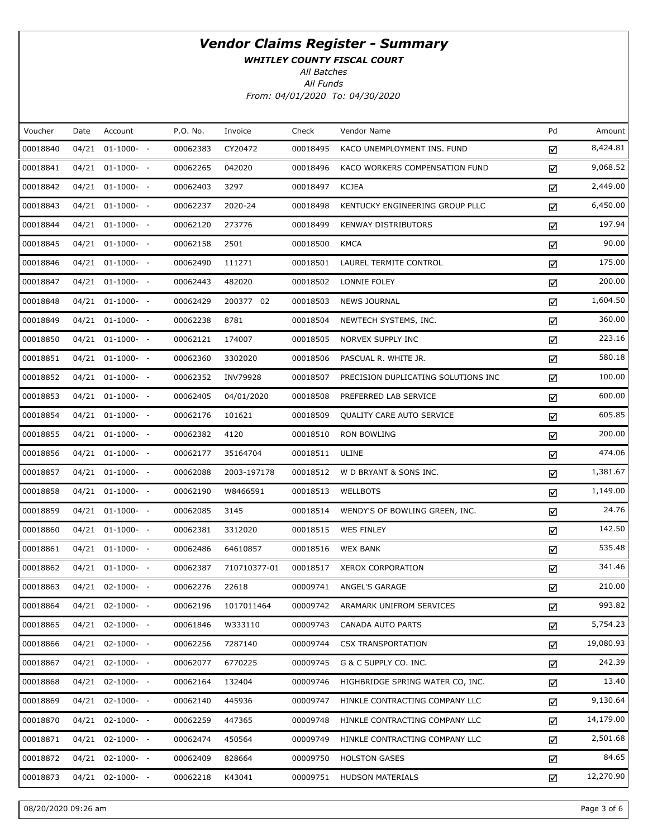WHITLEY COUNTY FISCAL COURT

All Batches

| Voucher  | Date | Account               | P.O. No. | Invoice      | Check    | Vendor Name                         | Pd | Amount    |
|----------|------|-----------------------|----------|--------------|----------|-------------------------------------|----|-----------|
| 00018840 |      | $04/21$ $01-1000-$ -  | 00062383 | CY20472      | 00018495 | KACO UNEMPLOYMENT INS. FUND         | ☑  | 8,424.81  |
| 00018841 |      | 04/21 01-1000- -      | 00062265 | 042020       | 00018496 | KACO WORKERS COMPENSATION FUND      | ☑  | 9,068.52  |
| 00018842 |      | $04/21$ $01-1000-$ -  | 00062403 | 3297         | 00018497 | <b>KCJEA</b>                        | ☑  | 2,449.00  |
| 00018843 |      | 04/21 01-1000- -      | 00062237 | 2020-24      | 00018498 | KENTUCKY ENGINEERING GROUP PLLC     | ☑  | 6,450.00  |
| 00018844 |      | $04/21$ $01-1000-$ -  | 00062120 | 273776       | 00018499 | <b>KENWAY DISTRIBUTORS</b>          | ☑  | 197.94    |
| 00018845 |      | 04/21 01-1000- -      | 00062158 | 2501         | 00018500 | <b>KMCA</b>                         | ☑  | 90.00     |
| 00018846 |      | $04/21$ $01-1000-$ -  | 00062490 | 111271       | 00018501 | LAUREL TERMITE CONTROL              | ☑  | 175.00    |
| 00018847 |      | 04/21 01-1000- -      | 00062443 | 482020       | 00018502 | LONNIE FOLEY                        | ☑  | 200.00    |
| 00018848 |      | $04/21$ $01-1000-$ -  | 00062429 | 200377 02    | 00018503 | <b>NEWS JOURNAL</b>                 | ☑  | 1,604.50  |
| 00018849 |      | 04/21 01-1000- -      | 00062238 | 8781         | 00018504 | NEWTECH SYSTEMS, INC.               | ☑  | 360.00    |
| 00018850 |      | $04/21$ $01-1000-$ -  | 00062121 | 174007       | 00018505 | NORVEX SUPPLY INC                   | ☑  | 223.16    |
| 00018851 |      | 04/21 01-1000- -      | 00062360 | 3302020      | 00018506 | PASCUAL R. WHITE JR.                | ☑  | 580.18    |
| 00018852 |      | 04/21 01-1000- -      | 00062352 | INV79928     | 00018507 | PRECISION DUPLICATING SOLUTIONS INC | ☑  | 100.00    |
| 00018853 |      | $04/21$ $01-1000-$ -  | 00062405 | 04/01/2020   | 00018508 | PREFERRED LAB SERVICE               | ☑  | 600.00    |
| 00018854 |      | $04/21$ $01-1000-$ -  | 00062176 | 101621       | 00018509 | <b>QUALITY CARE AUTO SERVICE</b>    | ☑  | 605.85    |
| 00018855 |      | $04/21$ $01-1000-$ -  | 00062382 | 4120         | 00018510 | <b>RON BOWLING</b>                  | ☑  | 200.00    |
| 00018856 |      | 04/21 01-1000- -      | 00062177 | 35164704     | 00018511 | ULINE                               | ☑  | 474.06    |
| 00018857 |      | $04/21$ $01-1000-$ -  | 00062088 | 2003-197178  | 00018512 | W D BRYANT & SONS INC.              | ☑  | 1,381.67  |
| 00018858 |      | 04/21 01-1000- -      | 00062190 | W8466591     | 00018513 | <b>WELLBOTS</b>                     | ☑  | 1,149.00  |
| 00018859 |      | $04/21$ $01-1000-$ -  | 00062085 | 3145         | 00018514 | WENDY'S OF BOWLING GREEN, INC.      | ☑  | 24.76     |
| 00018860 |      | $04/21$ $01-1000-$ -  | 00062381 | 3312020      | 00018515 | <b>WES FINLEY</b>                   | ☑  | 142.50    |
| 00018861 |      | 04/21 01-1000- -      | 00062486 | 64610857     | 00018516 | <b>WEX BANK</b>                     | ☑  | 535.48    |
| 00018862 |      | 04/21 01-1000- -      | 00062387 | 710710377-01 | 00018517 | XEROX CORPORATION                   | ☑  | 341.46    |
| 00018863 |      | 04/21 02-1000- -      | 00062276 | 22618        | 00009741 | ANGEL'S GARAGE                      | ☑  | 210.00    |
| 00018864 |      | 04/21 02-1000- -      | 00062196 | 1017011464   | 00009742 | ARAMARK UNIFROM SERVICES            | ☑  | 993.82    |
| 00018865 |      | $04/21$ $02-1000-$ -  | 00061846 | W333110      | 00009743 | CANADA AUTO PARTS                   | ☑  | 5,754.23  |
| 00018866 |      | $04/21$ $02-1000$ - - | 00062256 | 7287140      | 00009744 | <b>CSX TRANSPORTATION</b>           | ☑  | 19,080.93 |
| 00018867 |      | $04/21$ $02-1000-$ -  | 00062077 | 6770225      | 00009745 | G & C SUPPLY CO. INC.               | ☑  | 242.39    |
| 00018868 |      | $04/21$ $02-1000$ - - | 00062164 | 132404       | 00009746 | HIGHBRIDGE SPRING WATER CO, INC.    | ☑  | 13.40     |
| 00018869 |      | $04/21$ $02-1000-$ -  | 00062140 | 445936       | 00009747 | HINKLE CONTRACTING COMPANY LLC      | ☑  | 9,130.64  |
| 00018870 |      | $04/21$ $02-1000-$ -  | 00062259 | 447365       | 00009748 | HINKLE CONTRACTING COMPANY LLC      | ☑  | 14,179.00 |
| 00018871 |      | $04/21$ $02-1000-$ -  | 00062474 | 450564       | 00009749 | HINKLE CONTRACTING COMPANY LLC      | ☑  | 2,501.68  |
| 00018872 |      | $04/21$ $02-1000$ - - | 00062409 | 828664       | 00009750 | <b>HOLSTON GASES</b>                | ☑  | 84.65     |
| 00018873 |      | 04/21 02-1000- -      | 00062218 | K43041       | 00009751 | <b>HUDSON MATERIALS</b>             | ☑  | 12,270.90 |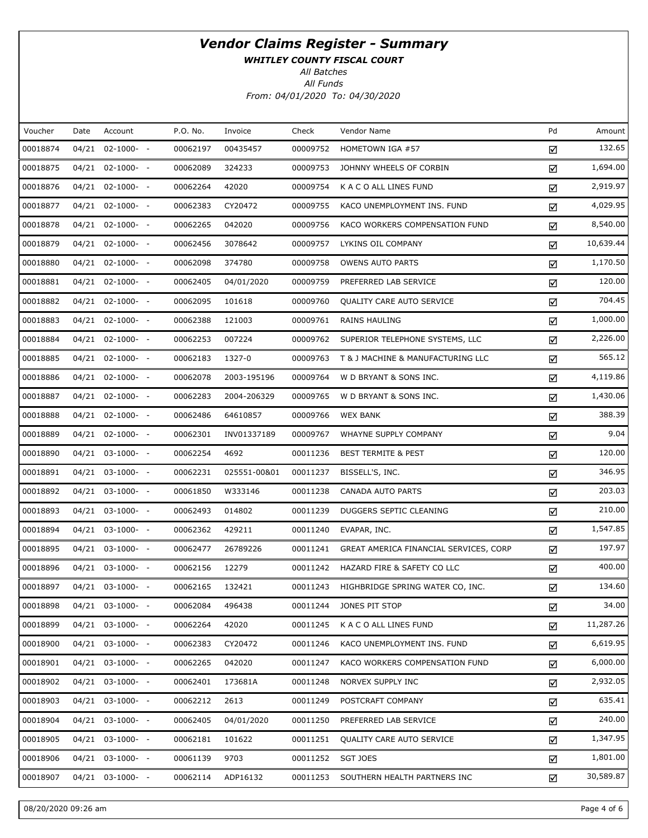WHITLEY COUNTY FISCAL COURT

All Batches

| Voucher  | Date | Account               | P.O. No. | Invoice      | Check    | Vendor Name                            | Pd | Amount    |
|----------|------|-----------------------|----------|--------------|----------|----------------------------------------|----|-----------|
| 00018874 |      | 04/21 02-1000- -      | 00062197 | 00435457     | 00009752 | HOMETOWN IGA #57                       | ☑  | 132.65    |
| 00018875 |      | $04/21$ $02-1000-$ -  | 00062089 | 324233       | 00009753 | JOHNNY WHEELS OF CORBIN                | ☑  | 1,694.00  |
| 00018876 |      | $04/21$ $02-1000-$ -  | 00062264 | 42020        | 00009754 | K A C O ALL LINES FUND                 | ☑  | 2,919.97  |
| 00018877 |      | $04/21$ $02-1000-$ -  | 00062383 | CY20472      | 00009755 | KACO UNEMPLOYMENT INS. FUND            | ☑  | 4,029.95  |
| 00018878 |      | $04/21$ $02-1000$ - - | 00062265 | 042020       | 00009756 | KACO WORKERS COMPENSATION FUND         | ☑  | 8,540.00  |
| 00018879 |      | $04/21$ $02-1000-$ -  | 00062456 | 3078642      | 00009757 | LYKINS OIL COMPANY                     | ☑  | 10,639.44 |
| 00018880 |      | $04/21$ $02-1000$ - - | 00062098 | 374780       | 00009758 | <b>OWENS AUTO PARTS</b>                | ☑  | 1,170.50  |
| 00018881 |      | $04/21$ $02-1000-$ -  | 00062405 | 04/01/2020   | 00009759 | PREFERRED LAB SERVICE                  | ☑  | 120.00    |
| 00018882 |      | 04/21 02-1000- -      | 00062095 | 101618       | 00009760 | <b>QUALITY CARE AUTO SERVICE</b>       | ☑  | 704.45    |
| 00018883 |      | $04/21$ $02-1000-$ -  | 00062388 | 121003       | 00009761 | RAINS HAULING                          | ☑  | 1,000.00  |
| 00018884 |      | $04/21$ $02-1000-$ -  | 00062253 | 007224       | 00009762 | SUPERIOR TELEPHONE SYSTEMS, LLC        | ☑  | 2,226.00  |
| 00018885 |      | $04/21$ $02-1000-$ -  | 00062183 | 1327-0       | 00009763 | T & J MACHINE & MANUFACTURING LLC      | ☑  | 565.12    |
| 00018886 |      | $04/21$ $02-1000-$ -  | 00062078 | 2003-195196  | 00009764 | W D BRYANT & SONS INC.                 | ☑  | 4,119.86  |
| 00018887 |      | $04/21$ $02-1000-$ -  | 00062283 | 2004-206329  | 00009765 | W D BRYANT & SONS INC.                 | ☑  | 1,430.06  |
| 00018888 |      | $04/21$ $02-1000$ - - | 00062486 | 64610857     | 00009766 | <b>WEX BANK</b>                        | ☑  | 388.39    |
| 00018889 |      | $04/21$ $02-1000-$ -  | 00062301 | INV01337189  | 00009767 | WHAYNE SUPPLY COMPANY                  | ☑  | 9.04      |
| 00018890 |      | $04/21$ $03-1000$ - - | 00062254 | 4692         | 00011236 | <b>BEST TERMITE &amp; PEST</b>         | ☑  | 120.00    |
| 00018891 |      | $04/21$ $03-1000-$ -  | 00062231 | 025551-00&01 | 00011237 | BISSELL'S, INC.                        | ☑  | 346.95    |
| 00018892 |      | 04/21 03-1000- -      | 00061850 | W333146      | 00011238 | CANADA AUTO PARTS                      | ☑  | 203.03    |
| 00018893 |      | $04/21$ $03-1000-$ -  | 00062493 | 014802       | 00011239 | DUGGERS SEPTIC CLEANING                | ☑  | 210.00    |
| 00018894 |      | $04/21$ 03-1000- -    | 00062362 | 429211       | 00011240 | EVAPAR, INC.                           | ☑  | 1,547.85  |
| 00018895 |      | $04/21$ $03-1000-$ -  | 00062477 | 26789226     | 00011241 | GREAT AMERICA FINANCIAL SERVICES, CORP | ☑  | 197.97    |
| 00018896 |      | $04/21$ 03-1000- -    | 00062156 | 12279        | 00011242 | HAZARD FIRE & SAFETY CO LLC            | ☑  | 400.00    |
| 00018897 |      | 04/21 03-1000- -      | 00062165 | 132421       | 00011243 | HIGHBRIDGE SPRING WATER CO, INC.       | ☑  | 134.60    |
| 00018898 |      | 04/21 03-1000- -      | 00062084 | 496438       | 00011244 | JONES PIT STOP                         | ☑  | 34.00     |
| 00018899 |      | $04/21$ $03-1000-$ -  | 00062264 | 42020        | 00011245 | K A C O ALL LINES FUND                 | ☑  | 11,287.26 |
| 00018900 |      | 04/21 03-1000- -      | 00062383 | CY20472      | 00011246 | KACO UNEMPLOYMENT INS. FUND            | ☑  | 6,619.95  |
| 00018901 |      | $04/21$ $03-1000-$ -  | 00062265 | 042020       | 00011247 | KACO WORKERS COMPENSATION FUND         | ☑  | 6,000.00  |
| 00018902 |      | $04/21$ 03-1000- -    | 00062401 | 173681A      | 00011248 | NORVEX SUPPLY INC                      | ☑  | 2,932.05  |
| 00018903 |      | $04/21$ $03-1000-$ -  | 00062212 | 2613         | 00011249 | POSTCRAFT COMPANY                      | ☑  | 635.41    |
| 00018904 |      | $04/21$ $03-1000-$ -  | 00062405 | 04/01/2020   | 00011250 | PREFERRED LAB SERVICE                  | ☑  | 240.00    |
| 00018905 |      | $04/21$ $03-1000-$ -  | 00062181 | 101622       | 00011251 | <b>QUALITY CARE AUTO SERVICE</b>       | ☑  | 1,347.95  |
| 00018906 |      | $04/21$ $03-1000-$ -  | 00061139 | 9703         | 00011252 | SGT JOES                               | ☑  | 1,801.00  |
| 00018907 |      | 04/21 03-1000- -      | 00062114 | ADP16132     | 00011253 | SOUTHERN HEALTH PARTNERS INC           | ☑  | 30,589.87 |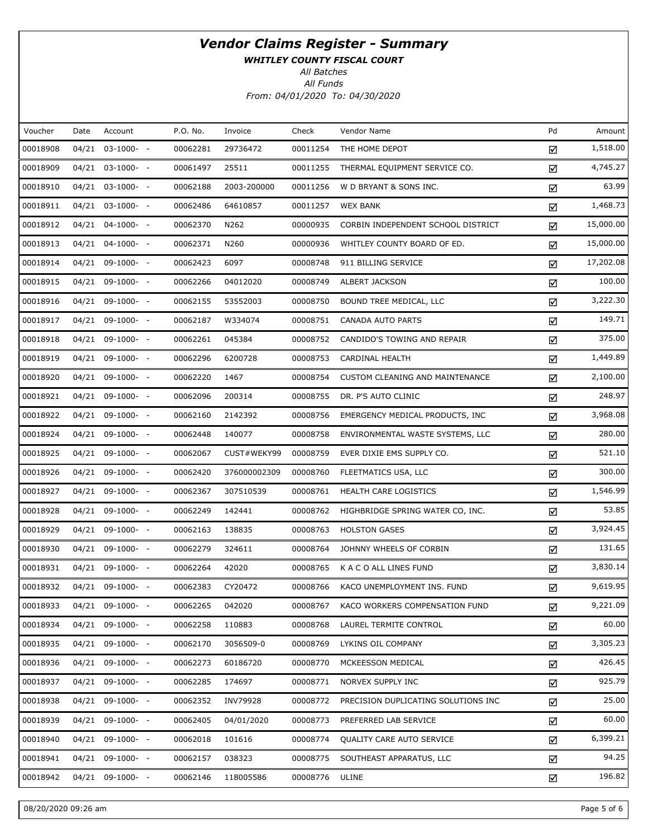WHITLEY COUNTY FISCAL COURT

All Batches

| Voucher  | Date  | Account              | P.O. No. | Invoice      | Check    | Vendor Name                         | Pd | Amount    |
|----------|-------|----------------------|----------|--------------|----------|-------------------------------------|----|-----------|
| 00018908 | 04/21 | $03-1000- -$         | 00062281 | 29736472     | 00011254 | THE HOME DEPOT                      | ☑  | 1,518.00  |
| 00018909 |       | $04/21$ $03-1000-$ - | 00061497 | 25511        | 00011255 | THERMAL EQUIPMENT SERVICE CO.       | ☑  | 4,745.27  |
| 00018910 |       | $04/21$ $03-1000-$ - | 00062188 | 2003-200000  | 00011256 | W D BRYANT & SONS INC.              | ☑  | 63.99     |
| 00018911 |       | $04/21$ $03-1000-$ - | 00062486 | 64610857     | 00011257 | <b>WEX BANK</b>                     | ☑  | 1,468.73  |
| 00018912 |       | $04/21$ $04-1000-$ - | 00062370 | N262         | 00000935 | CORBIN INDEPENDENT SCHOOL DISTRICT  | ☑  | 15,000.00 |
| 00018913 |       | $04/21$ $04-1000-$ - | 00062371 | N260         | 00000936 | WHITLEY COUNTY BOARD OF ED.         | ☑  | 15,000.00 |
| 00018914 |       | 04/21 09-1000- -     | 00062423 | 6097         | 00008748 | 911 BILLING SERVICE                 | ☑  | 17,202.08 |
| 00018915 |       | 04/21 09-1000- -     | 00062266 | 04012020     | 00008749 | ALBERT JACKSON                      | ☑  | 100.00    |
| 00018916 |       | 04/21 09-1000- -     | 00062155 | 53552003     | 00008750 | BOUND TREE MEDICAL, LLC             | ☑  | 3,222.30  |
| 00018917 |       | 04/21 09-1000- -     | 00062187 | W334074      | 00008751 | CANADA AUTO PARTS                   | ☑  | 149.71    |
| 00018918 |       | 04/21 09-1000- -     | 00062261 | 045384       | 00008752 | CANDIDO'S TOWING AND REPAIR         | ☑  | 375.00    |
| 00018919 |       | 04/21 09-1000- -     | 00062296 | 6200728      | 00008753 | CARDINAL HEALTH                     | ☑  | 1,449.89  |
| 00018920 |       | 04/21 09-1000- -     | 00062220 | 1467         | 00008754 | CUSTOM CLEANING AND MAINTENANCE     | ☑  | 2,100.00  |
| 00018921 |       | 04/21 09-1000- -     | 00062096 | 200314       | 00008755 | DR. P'S AUTO CLINIC                 | ☑  | 248.97    |
| 00018922 |       | 04/21 09-1000- -     | 00062160 | 2142392      | 00008756 | EMERGENCY MEDICAL PRODUCTS, INC.    | ☑  | 3,968.08  |
| 00018924 |       | 04/21 09-1000- -     | 00062448 | 140077       | 00008758 | ENVIRONMENTAL WASTE SYSTEMS, LLC    | ☑  | 280.00    |
| 00018925 |       | 04/21 09-1000- -     | 00062067 | CUST#WEKY99  | 00008759 | EVER DIXIE EMS SUPPLY CO.           | ☑  | 521.10    |
| 00018926 |       | 04/21 09-1000- -     | 00062420 | 376000002309 | 00008760 | FLEETMATICS USA, LLC                | ☑  | 300.00    |
| 00018927 |       | 04/21 09-1000- -     | 00062367 | 307510539    | 00008761 | HEALTH CARE LOGISTICS               | ☑  | 1,546.99  |
| 00018928 |       | 04/21 09-1000- -     | 00062249 | 142441       | 00008762 | HIGHBRIDGE SPRING WATER CO, INC.    | ☑  | 53.85     |
| 00018929 |       | 04/21 09-1000- -     | 00062163 | 138835       | 00008763 | <b>HOLSTON GASES</b>                | ☑  | 3,924.45  |
| 00018930 |       | 04/21 09-1000- -     | 00062279 | 324611       | 00008764 | JOHNNY WHEELS OF CORBIN             | ☑  | 131.65    |
| 00018931 |       | 04/21 09-1000- -     | 00062264 | 42020        | 00008765 | K A C O ALL LINES FUND              | ☑  | 3,830.14  |
| 00018932 |       | 04/21 09-1000- -     | 00062383 | CY20472      | 00008766 | KACO UNEMPLOYMENT INS. FUND         | ☑  | 9,619.95  |
| 00018933 |       | 04/21 09-1000- -     | 00062265 | 042020       | 00008767 | KACO WORKERS COMPENSATION FUND      | ☑  | 9,221.09  |
| 00018934 |       | 04/21 09-1000- -     | 00062258 | 110883       | 00008768 | LAUREL TERMITE CONTROL              | ☑  | 60.00     |
| 00018935 |       | 04/21 09-1000- -     | 00062170 | 3056509-0    | 00008769 | LYKINS OIL COMPANY                  | ☑  | 3,305.23  |
| 00018936 |       | 04/21 09-1000- -     | 00062273 | 60186720     | 00008770 | MCKEESSON MEDICAL                   | ☑  | 426.45    |
| 00018937 |       | 04/21 09-1000- -     | 00062285 | 174697       | 00008771 | NORVEX SUPPLY INC                   | ☑  | 925.79    |
| 00018938 |       | 04/21 09-1000- -     | 00062352 | INV79928     | 00008772 | PRECISION DUPLICATING SOLUTIONS INC | ☑  | 25.00     |
| 00018939 |       | 04/21 09-1000- -     | 00062405 | 04/01/2020   | 00008773 | PREFERRED LAB SERVICE               | ☑  | 60.00     |
| 00018940 |       | 04/21 09-1000- -     | 00062018 | 101616       | 00008774 | QUALITY CARE AUTO SERVICE           | ☑  | 6,399.21  |
| 00018941 |       | $04/21$ 09-1000- -   | 00062157 | 038323       | 00008775 | SOUTHEAST APPARATUS, LLC            | ☑  | 94.25     |
| 00018942 | 04/21 | 09-1000- -           | 00062146 | 118005586    | 00008776 | ULINE                               | ☑  | 196.82    |